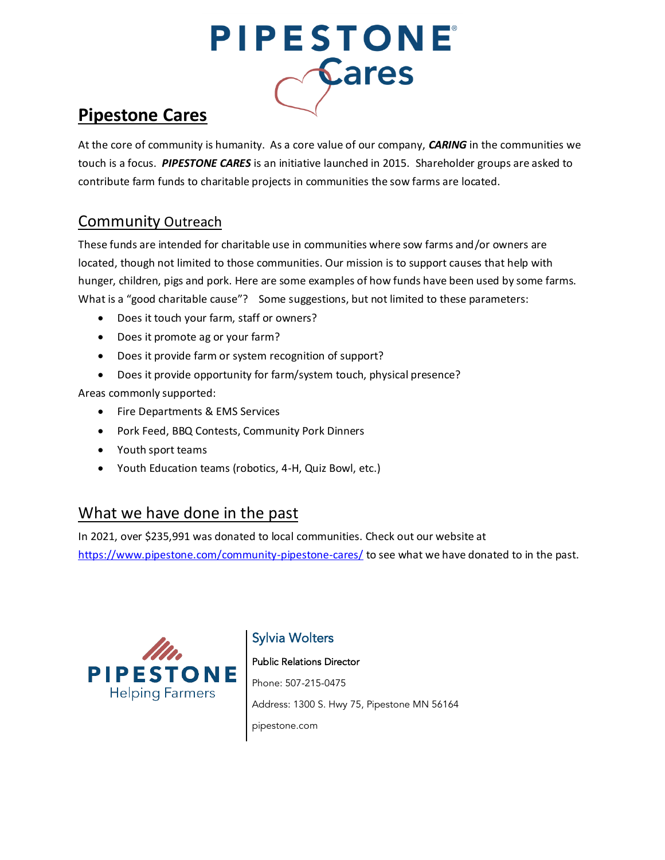# PIPESTONE **Cares**

## **Pipestone Cares**

At the core of community is humanity. As a core value of our company, *CARING* in the communities we touch is a focus. *PIPESTONE CARES* is an initiative launched in 2015. Shareholder groups are asked to contribute farm funds to charitable projects in communities the sow farms are located.

#### Community Outreach

These funds are intended for charitable use in communities where sow farms and/or owners are located, though not limited to those communities. Our mission is to support causes that help with hunger, children, pigs and pork. Here are some examples of how funds have been used by some farms. What is a "good charitable cause"? Some suggestions, but not limited to these parameters:

- Does it touch your farm, staff or owners?
- Does it promote ag or your farm?
- Does it provide farm or system recognition of support?
- Does it provide opportunity for farm/system touch, physical presence?

Areas commonly supported:

- Fire Departments & EMS Services
- Pork Feed, BBQ Contests, Community Pork Dinners
- Youth sport teams
- Youth Education teams (robotics, 4-H, Quiz Bowl, etc.)

### What we have done in the past

In 2021, over \$235,991 was donated to local communities. Check out our website at <https://www.pipestone.com/community-pipestone-cares/> to see what we have donated to in the past.



#### Sylvia Wolters

#### Public Relations Director

Phone: 507-215-0475 Address: 1300 S. Hwy 75, Pipestone MN 56164 pipestone.com